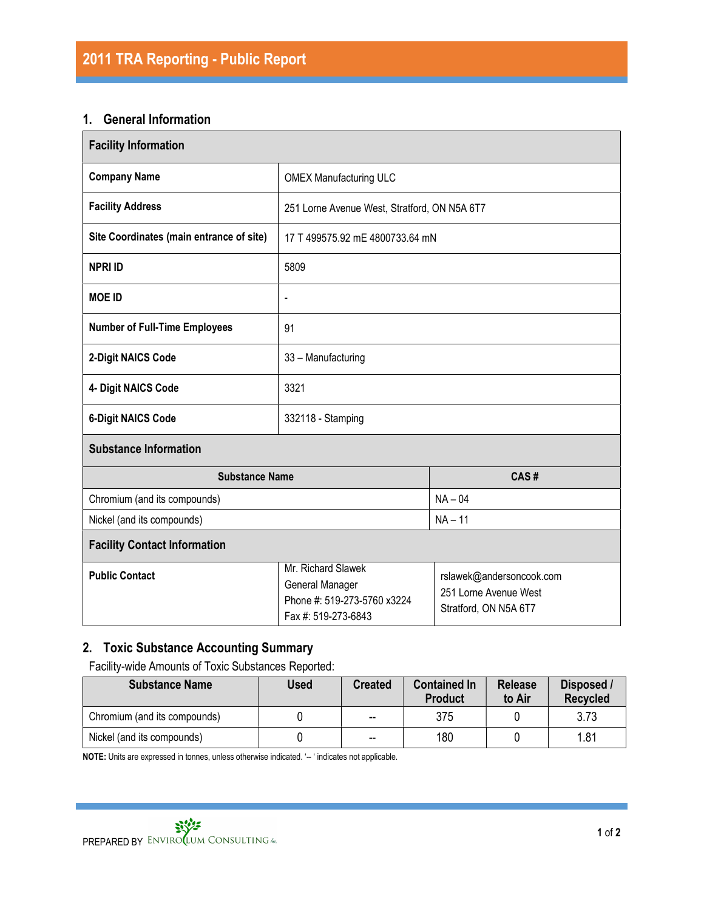### 1. General Information

| <b>Facility Information</b>              |                                                                                                                                                                           |           |  |  |  |
|------------------------------------------|---------------------------------------------------------------------------------------------------------------------------------------------------------------------------|-----------|--|--|--|
| <b>Company Name</b>                      | <b>OMEX Manufacturing ULC</b>                                                                                                                                             |           |  |  |  |
| <b>Facility Address</b>                  | 251 Lorne Avenue West, Stratford, ON N5A 6T7                                                                                                                              |           |  |  |  |
| Site Coordinates (main entrance of site) | 17 T 499575.92 mE 4800733.64 mN                                                                                                                                           |           |  |  |  |
| <b>NPRI ID</b>                           | 5809                                                                                                                                                                      |           |  |  |  |
| <b>MOE ID</b>                            | $\overline{\phantom{a}}$                                                                                                                                                  |           |  |  |  |
| <b>Number of Full-Time Employees</b>     | 91                                                                                                                                                                        |           |  |  |  |
| 2-Digit NAICS Code                       | 33 - Manufacturing                                                                                                                                                        |           |  |  |  |
| 4- Digit NAICS Code                      | 3321                                                                                                                                                                      |           |  |  |  |
| <b>6-Digit NAICS Code</b>                | 332118 - Stamping                                                                                                                                                         |           |  |  |  |
| <b>Substance Information</b>             |                                                                                                                                                                           |           |  |  |  |
| <b>Substance Name</b>                    |                                                                                                                                                                           | CAS#      |  |  |  |
| Chromium (and its compounds)             |                                                                                                                                                                           | $NA - 04$ |  |  |  |
| Nickel (and its compounds)               |                                                                                                                                                                           | $NA - 11$ |  |  |  |
| <b>Facility Contact Information</b>      |                                                                                                                                                                           |           |  |  |  |
| <b>Public Contact</b>                    | Mr. Richard Slawek<br>rslawek@andersoncook.com<br>General Manager<br>251 Lorne Avenue West<br>Phone #: 519-273-5760 x3224<br>Stratford, ON N5A 6T7<br>Fax #: 519-273-6843 |           |  |  |  |

## 2. Toxic Substance Accounting Summary

Facility-wide Amounts of Toxic Substances Reported:

| <b>Substance Name</b>        | Used | <b>Created</b>           | <b>Contained In</b><br><b>Product</b> | <b>Release</b><br>to Air | Disposed /<br><b>Recycled</b> |
|------------------------------|------|--------------------------|---------------------------------------|--------------------------|-------------------------------|
| Chromium (and its compounds) |      | $\overline{\phantom{a}}$ | 375                                   |                          | 3.73                          |
| Nickel (and its compounds)   |      | $\overline{a}$           | 180                                   |                          | 1.81                          |

NOTE: Units are expressed in tonnes, unless otherwise indicated. '-- ' indicates not applicable.